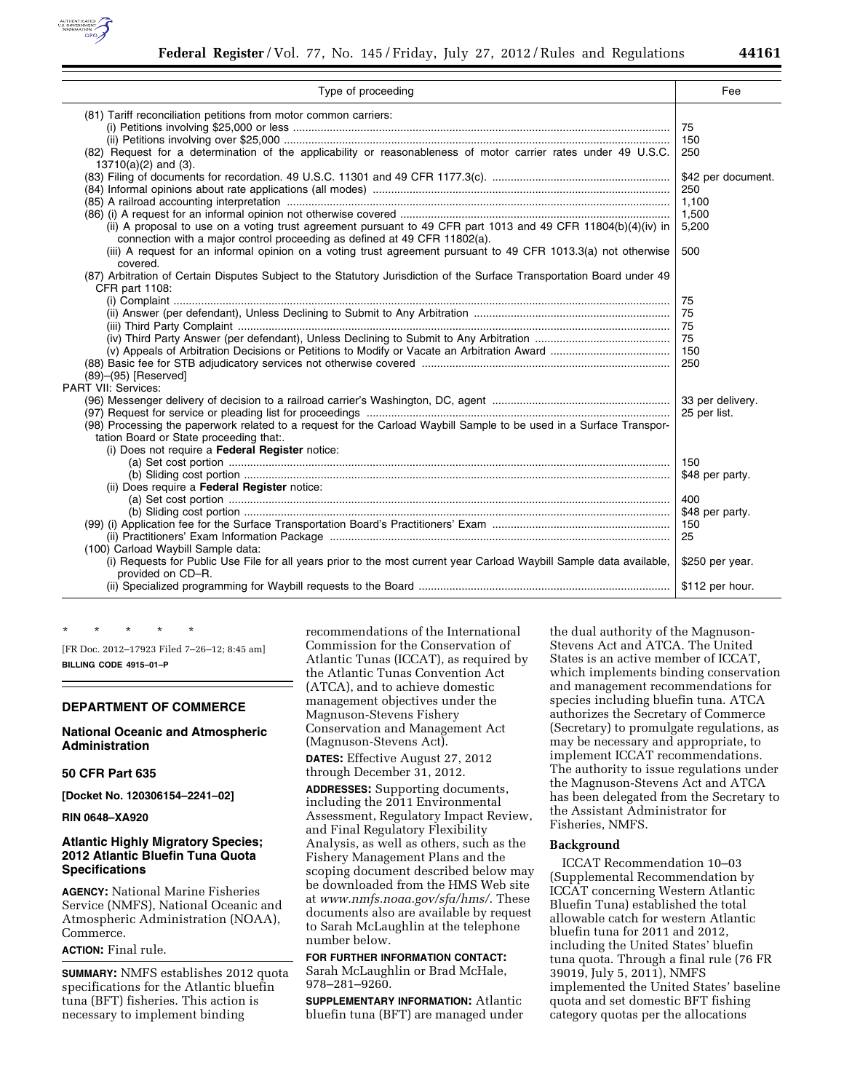

| Type of proceeding                                                                                                                                                                                                | Fee                                                  |
|-------------------------------------------------------------------------------------------------------------------------------------------------------------------------------------------------------------------|------------------------------------------------------|
| (81) Tariff reconciliation petitions from motor common carriers:<br>(82) Request for a determination of the applicability or reasonableness of motor carrier rates under 49 U.S.C.                                | 75<br>150<br>250                                     |
| $13710(a)(2)$ and (3).<br>(ii) A proposal to use on a voting trust agreement pursuant to 49 CFR part 1013 and 49 CFR 11804(b)(4)(iv) in                                                                           | \$42 per document.<br>250<br>1,100<br>1,500<br>5,200 |
| connection with a major control proceeding as defined at 49 CFR 11802(a).<br>(iii) A request for an informal opinion on a voting trust agreement pursuant to 49 CFR 1013.3(a) not otherwise<br>covered.           | 500                                                  |
| (87) Arbitration of Certain Disputes Subject to the Statutory Jurisdiction of the Surface Transportation Board under 49<br>CFR part 1108:<br>(89)-(95) [Reserved]<br>PART VII: Services:                          | 75<br>75<br>75<br>75<br>150<br>250                   |
| (98) Processing the paperwork related to a request for the Carload Waybill Sample to be used in a Surface Transpor-<br>tation Board or State proceeding that:.<br>(i) Does not require a Federal Register notice: | 33 per delivery.<br>25 per list.                     |
| (ii) Does require a Federal Register notice:                                                                                                                                                                      | 150<br>\$48 per party.                               |
|                                                                                                                                                                                                                   | 400<br>\$48 per party.<br>150<br>25                  |
| (100) Carload Waybill Sample data:<br>(i) Requests for Public Use File for all years prior to the most current year Carload Waybill Sample data available,<br>provided on CD-R.                                   | \$250 per year.                                      |
|                                                                                                                                                                                                                   | \$112 per hour.                                      |

[FR Doc. 2012–17923 Filed 7–26–12; 8:45 am] **BILLING CODE 4915–01–P** 

#### **DEPARTMENT OF COMMERCE**

\* \* \* \* \*

### **National Oceanic and Atmospheric Administration**

### **50 CFR Part 635**

**[Docket No. 120306154–2241–02]** 

## **RIN 0648–XA920**

## **Atlantic Highly Migratory Species; 2012 Atlantic Bluefin Tuna Quota Specifications**

**AGENCY:** National Marine Fisheries Service (NMFS), National Oceanic and Atmospheric Administration (NOAA), Commerce.

### **ACTION:** Final rule.

**SUMMARY:** NMFS establishes 2012 quota specifications for the Atlantic bluefin tuna (BFT) fisheries. This action is necessary to implement binding

recommendations of the International Commission for the Conservation of Atlantic Tunas (ICCAT), as required by the Atlantic Tunas Convention Act (ATCA), and to achieve domestic management objectives under the Magnuson-Stevens Fishery Conservation and Management Act (Magnuson-Stevens Act).

**DATES:** Effective August 27, 2012 through December 31, 2012.

**ADDRESSES:** Supporting documents, including the 2011 Environmental Assessment, Regulatory Impact Review, and Final Regulatory Flexibility Analysis, as well as others, such as the Fishery Management Plans and the scoping document described below may be downloaded from the HMS Web site at *[www.nmfs.noaa.gov/sfa/hms/](http://www.nmfs.noaa.gov/sfa/hms/)*. These documents also are available by request to Sarah McLaughlin at the telephone number below.

# **FOR FURTHER INFORMATION CONTACT:**

Sarah McLaughlin or Brad McHale, 978–281–9260.

**SUPPLEMENTARY INFORMATION:** Atlantic bluefin tuna (BFT) are managed under

the dual authority of the Magnuson-Stevens Act and ATCA. The United States is an active member of ICCAT, which implements binding conservation and management recommendations for species including bluefin tuna. ATCA authorizes the Secretary of Commerce (Secretary) to promulgate regulations, as may be necessary and appropriate, to implement ICCAT recommendations. The authority to issue regulations under the Magnuson-Stevens Act and ATCA has been delegated from the Secretary to the Assistant Administrator for Fisheries, NMFS.

#### **Background**

ICCAT Recommendation 10–03 (Supplemental Recommendation by ICCAT concerning Western Atlantic Bluefin Tuna) established the total allowable catch for western Atlantic bluefin tuna for 2011 and 2012, including the United States' bluefin tuna quota. Through a final rule (76 FR 39019, July 5, 2011), NMFS implemented the United States' baseline quota and set domestic BFT fishing category quotas per the allocations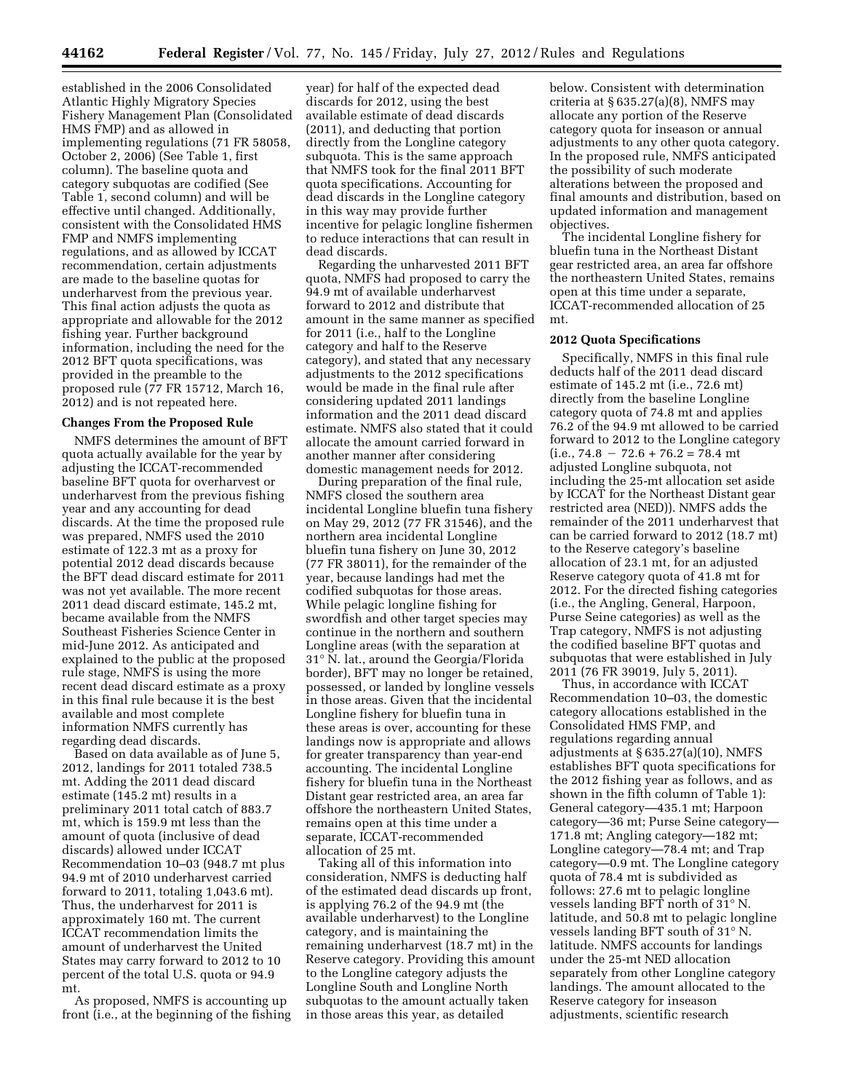established in the 2006 Consolidated Atlantic Highly Migratory Species Fishery Management Plan (Consolidated HMS FMP) and as allowed in implementing regulations (71 FR 58058, October 2, 2006) (See Table 1, first column). The baseline quota and category subquotas are codified (See Table 1, second column) and will be effective until changed. Additionally, consistent with the Consolidated HMS FMP and NMFS implementing regulations, and as allowed by ICCAT recommendation, certain adjustments are made to the baseline quotas for underharvest from the previous year. This final action adjusts the quota as appropriate and allowable for the 2012 fishing year. Further background information, including the need for the 2012 BFT quota specifications, was provided in the preamble to the proposed rule (77 FR 15712, March 16, 2012) and is not repeated here.

#### **Changes From the Proposed Rule**

NMFS determines the amount of BFT quota actually available for the year by adjusting the ICCAT-recommended baseline BFT quota for overharvest or underharvest from the previous fishing year and any accounting for dead discards. At the time the proposed rule was prepared, NMFS used the 2010 estimate of 122.3 mt as a proxy for potential 2012 dead discards because the BFT dead discard estimate for 2011 was not yet available. The more recent 2011 dead discard estimate, 145.2 mt, became available from the NMFS Southeast Fisheries Science Center in mid-June 2012. As anticipated and explained to the public at the proposed rule stage, NMFS is using the more recent dead discard estimate as a proxy in this final rule because it is the best available and most complete information NMFS currently has regarding dead discards.

Based on data available as of June 5, 2012, landings for 2011 totaled 738.5 mt. Adding the 2011 dead discard estimate (145.2 mt) results in a preliminary 2011 total catch of 883.7 mt, which is 159.9 mt less than the amount of quota (inclusive of dead discards) allowed under ICCAT Recommendation 10–03 (948.7 mt plus 94.9 mt of 2010 underharvest carried forward to 2011, totaling 1,043.6 mt). Thus, the underharvest for 2011 is approximately 160 mt. The current ICCAT recommendation limits the amount of underharvest the United States may carry forward to 2012 to 10 percent of the total U.S. quota or 94.9 mt.

As proposed, NMFS is accounting up front (i.e., at the beginning of the fishing

year) for half of the expected dead discards for 2012, using the best available estimate of dead discards (2011), and deducting that portion directly from the Longline category subquota. This is the same approach that NMFS took for the final 2011 BFT quota specifications. Accounting for dead discards in the Longline category in this way may provide further incentive for pelagic longline fishermen to reduce interactions that can result in dead discards.

Regarding the unharvested 2011 BFT quota, NMFS had proposed to carry the 94.9 mt of available underharvest forward to 2012 and distribute that amount in the same manner as specified for 2011 (i.e., half to the Longline category and half to the Reserve category), and stated that any necessary adjustments to the 2012 specifications would be made in the final rule after considering updated 2011 landings information and the 2011 dead discard estimate. NMFS also stated that it could allocate the amount carried forward in another manner after considering domestic management needs for 2012.

During preparation of the final rule, NMFS closed the southern area incidental Longline bluefin tuna fishery on May 29, 2012 (77 FR 31546), and the northern area incidental Longline bluefin tuna fishery on June 30, 2012 (77 FR 38011), for the remainder of the year, because landings had met the codified subquotas for those areas. While pelagic longline fishing for swordfish and other target species may continue in the northern and southern Longline areas (with the separation at 31° N. lat., around the Georgia/Florida border), BFT may no longer be retained, possessed, or landed by longline vessels in those areas. Given that the incidental Longline fishery for bluefin tuna in these areas is over, accounting for these landings now is appropriate and allows for greater transparency than year-end accounting. The incidental Longline fishery for bluefin tuna in the Northeast Distant gear restricted area, an area far offshore the northeastern United States, remains open at this time under a separate, ICCAT-recommended allocation of 25 mt.

Taking all of this information into consideration, NMFS is deducting half of the estimated dead discards up front, is applying 76.2 of the 94.9 mt (the available underharvest) to the Longline category, and is maintaining the remaining underharvest (18.7 mt) in the Reserve category. Providing this amount to the Longline category adjusts the Longline South and Longline North subquotas to the amount actually taken in those areas this year, as detailed

below. Consistent with determination criteria at  $§ 635.27(a)(8)$ , NMFS may allocate any portion of the Reserve category quota for inseason or annual adjustments to any other quota category. In the proposed rule, NMFS anticipated the possibility of such moderate alterations between the proposed and final amounts and distribution, based on updated information and management objectives.

The incidental Longline fishery for bluefin tuna in the Northeast Distant gear restricted area, an area far offshore the northeastern United States, remains open at this time under a separate, ICCAT-recommended allocation of 25 mt.

#### **2012 Quota Specifications**

Specifically, NMFS in this final rule deducts half of the 2011 dead discard estimate of 145.2 mt (i.e., 72.6 mt) directly from the baseline Longline category quota of 74.8 mt and applies 76.2 of the 94.9 mt allowed to be carried forward to 2012 to the Longline category  $(i.e., 74.8 - 72.6 + 76.2 = 78.4$  mt adjusted Longline subquota, not including the 25-mt allocation set aside by ICCAT for the Northeast Distant gear restricted area (NED)). NMFS adds the remainder of the 2011 underharvest that can be carried forward to 2012 (18.7 mt) to the Reserve category's baseline allocation of 23.1 mt, for an adjusted Reserve category quota of 41.8 mt for 2012. For the directed fishing categories (i.e., the Angling, General, Harpoon, Purse Seine categories) as well as the Trap category, NMFS is not adjusting the codified baseline BFT quotas and subquotas that were established in July 2011 (76 FR 39019, July 5, 2011).

Thus, in accordance with ICCAT Recommendation 10–03, the domestic category allocations established in the Consolidated HMS FMP, and regulations regarding annual adjustments at  $§ 635.27(a)(10)$ , NMFS establishes BFT quota specifications for the 2012 fishing year as follows, and as shown in the fifth column of Table 1): General category—435.1 mt; Harpoon category—36 mt; Purse Seine category— 171.8 mt; Angling category—182 mt; Longline category—78.4 mt; and Trap category—0.9 mt. The Longline category quota of 78.4 mt is subdivided as follows: 27.6 mt to pelagic longline vessels landing BFT north of 31° N. latitude, and 50.8 mt to pelagic longline vessels landing BFT south of 31° N. latitude. NMFS accounts for landings under the 25-mt NED allocation separately from other Longline category landings. The amount allocated to the Reserve category for inseason adjustments, scientific research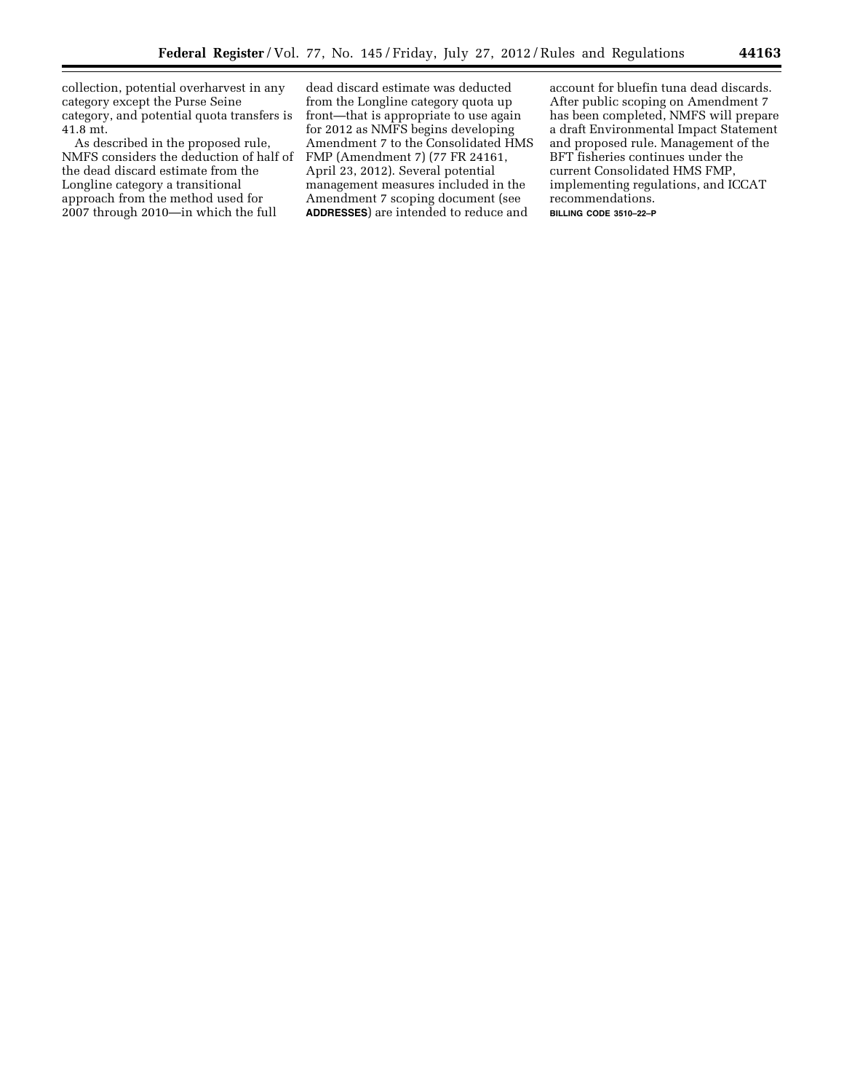collection, potential overharvest in any category except the Purse Seine category, and potential quota transfers is 41.8 mt.

As described in the proposed rule, NMFS considers the deduction of half of the dead discard estimate from the Longline category a transitional approach from the method used for 2007 through 2010—in which the full

dead discard estimate was deducted from the Longline category quota up front—that is appropriate to use again for 2012 as NMFS begins developing Amendment 7 to the Consolidated HMS FMP (Amendment 7) (77 FR 24161, April 23, 2012). Several potential management measures included in the Amendment 7 scoping document (see **ADDRESSES**) are intended to reduce and

account for bluefin tuna dead discards. After public scoping on Amendment 7 has been completed, NMFS will prepare a draft Environmental Impact Statement and proposed rule. Management of the BFT fisheries continues under the current Consolidated HMS FMP, implementing regulations, and ICCAT recommendations. **BILLING CODE 3510–22–P**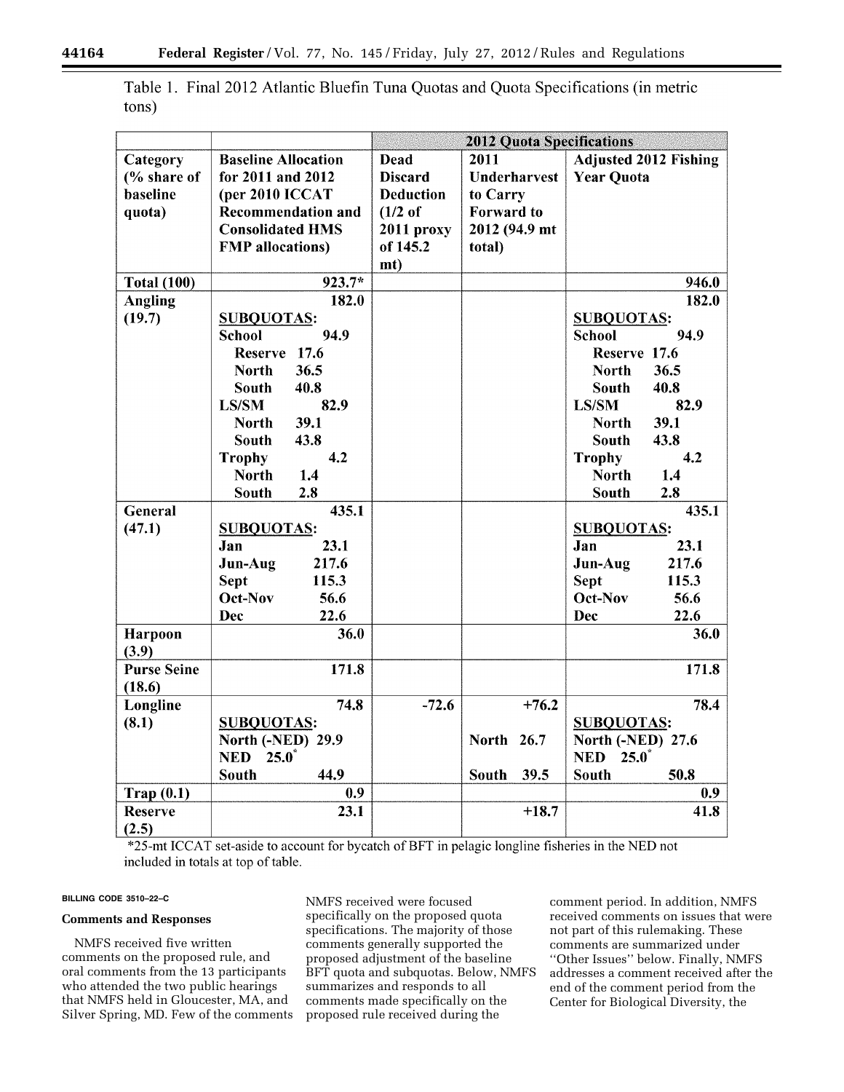|       | Table 1. Final 2012 Atlantic Bluefin Tuna Quotas and Quota Specifications (in metric |  |  |  |
|-------|--------------------------------------------------------------------------------------|--|--|--|
| tons) |                                                                                      |  |  |  |

|                         |                            | <b>2012 Quota Specifications</b> |                      |                                |  |
|-------------------------|----------------------------|----------------------------------|----------------------|--------------------------------|--|
| Category                | <b>Baseline Allocation</b> | <b>Dead</b>                      | 2011                 | <b>Adjusted 2012 Fishing</b>   |  |
| $\frac{6}{6}$ share of  | for 2011 and 2012          | <b>Discard</b>                   | <b>Underharvest</b>  | <b>Year Quota</b>              |  |
| baseline                | (per 2010 ICCAT            | <b>Deduction</b>                 | to Carry             |                                |  |
| quota)                  | <b>Recommendation and</b>  | $(1/2$ of                        | <b>Forward</b> to    |                                |  |
|                         | <b>Consolidated HMS</b>    | 2011 proxy                       | 2012 (94.9 mt)       |                                |  |
|                         | <b>FMP</b> allocations)    | of 145.2                         | total)               |                                |  |
|                         |                            | mt)                              |                      |                                |  |
| <b>Total (100)</b>      | 923.7*                     |                                  |                      | 946.0                          |  |
| <b>Angling</b>          | 182.0                      |                                  |                      | 182.0                          |  |
| (19.7)                  | <b>SUBQUOTAS:</b>          |                                  |                      | <b>SUBQUOTAS:</b>              |  |
|                         | 94.9<br><b>School</b>      |                                  |                      | <b>School</b><br>94.9          |  |
|                         | Reserve 17.6               |                                  |                      | Reserve 17.6                   |  |
|                         | 36.5<br><b>North</b>       |                                  |                      | 36.5<br><b>North</b>           |  |
|                         | 40.8<br><b>South</b>       |                                  |                      | <b>South</b><br>40.8           |  |
|                         | LS/SM<br>82.9              |                                  |                      | <b>LS/SM</b><br>82.9           |  |
|                         | 39.1<br><b>North</b>       |                                  |                      | 39.1<br><b>North</b>           |  |
|                         | 43.8<br><b>South</b>       |                                  |                      | 43.8<br><b>South</b>           |  |
|                         | 4.2<br><b>Trophy</b>       |                                  |                      | 4.2<br><b>Trophy</b>           |  |
|                         | 1.4<br><b>North</b>        |                                  |                      | 1.4<br><b>North</b>            |  |
|                         | <b>South</b><br>2.8        |                                  |                      | <b>South</b><br>2.8            |  |
| <b>General</b>          | 435.1                      |                                  |                      | 435.1                          |  |
| (47.1)                  | <b>SUBQUOTAS:</b>          |                                  |                      | <b>SUBQUOTAS:</b>              |  |
|                         | 23.1<br>Jan                |                                  |                      | 23.1<br>Jan                    |  |
|                         | 217.6<br>Jun-Aug           |                                  |                      | 217.6<br>Jun-Aug               |  |
|                         | <b>Sept</b><br>115.3       |                                  |                      | <b>Sept</b><br>115.3           |  |
|                         | Oct-Nov<br>56.6            |                                  |                      | Oct-Nov<br>56.6                |  |
|                         | 22.6<br>Dec                |                                  |                      | <b>Dec</b><br>22.6             |  |
| <b>Harpoon</b><br>(3.9) | 36.0                       |                                  |                      | 36.0                           |  |
| <b>Purse Seine</b>      | 171.8                      |                                  |                      | 171.8                          |  |
| (18.6)                  |                            |                                  |                      |                                |  |
| Longline                | 74.8                       | $-72.6$                          | $+76.2$              | 78.4                           |  |
| (8.1)                   | <b>SUBQUOTAS:</b>          |                                  |                      | <b>SUBQUOTAS:</b>              |  |
|                         | <b>North (-NED) 29.9</b>   |                                  | North 26.7           | <b>North (-NED) 27.6</b>       |  |
|                         | <b>NED</b><br>$25.0^*$     |                                  |                      | <b>NED</b><br>$25.0^{\degree}$ |  |
|                         | <b>South</b><br>44.9       |                                  | 39.5<br><b>South</b> | <b>South</b><br>50.8           |  |
| Trap(0.1)               | 0.9                        |                                  |                      | 0.9                            |  |
| <b>Reserve</b>          | 23.1                       |                                  | $+18.7$              | 41.8                           |  |
| (2.5)                   |                            |                                  |                      |                                |  |

\*25-mt ICCAT set-aside to account for bycatch of BFT in pelagic longline fisheries in the NED not included in totals at top of table.

#### **BILLING CODE 3510–22–C**

#### **Comments and Responses**

NMFS received five written comments on the proposed rule, and oral comments from the 13 participants who attended the two public hearings that NMFS held in Gloucester, MA, and Silver Spring, MD. Few of the comments NMFS received were focused specifically on the proposed quota specifications. The majority of those comments generally supported the proposed adjustment of the baseline BFT quota and subquotas. Below, NMFS summarizes and responds to all comments made specifically on the proposed rule received during the

comment period. In addition, NMFS received comments on issues that were not part of this rulemaking. These comments are summarized under ''Other Issues'' below. Finally, NMFS addresses a comment received after the end of the comment period from the Center for Biological Diversity, the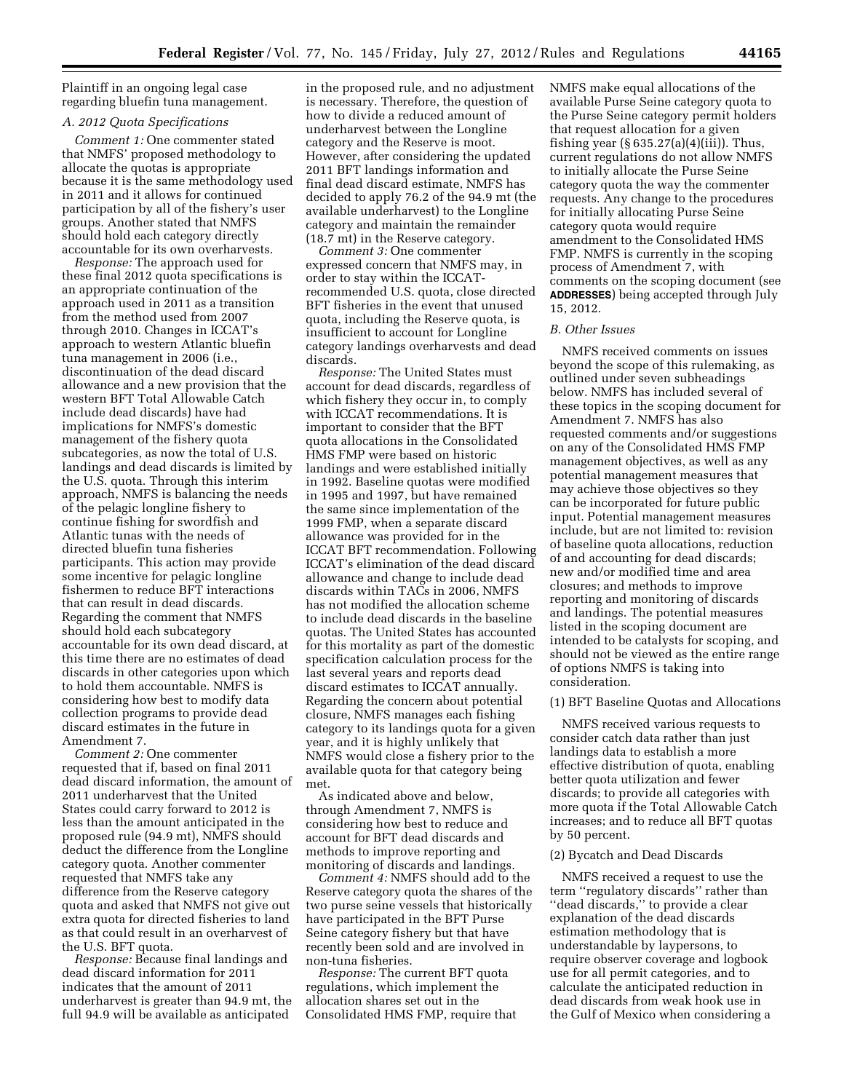Plaintiff in an ongoing legal case regarding bluefin tuna management.

# *A. 2012 Quota Specifications*

*Comment 1:* One commenter stated that NMFS' proposed methodology to allocate the quotas is appropriate because it is the same methodology used in 2011 and it allows for continued participation by all of the fishery's user groups. Another stated that NMFS should hold each category directly accountable for its own overharvests.

*Response:* The approach used for these final 2012 quota specifications is an appropriate continuation of the approach used in 2011 as a transition from the method used from 2007 through 2010. Changes in ICCAT's approach to western Atlantic bluefin tuna management in 2006 (i.e., discontinuation of the dead discard allowance and a new provision that the western BFT Total Allowable Catch include dead discards) have had implications for NMFS's domestic management of the fishery quota subcategories, as now the total of U.S. landings and dead discards is limited by the U.S. quota. Through this interim approach, NMFS is balancing the needs of the pelagic longline fishery to continue fishing for swordfish and Atlantic tunas with the needs of directed bluefin tuna fisheries participants. This action may provide some incentive for pelagic longline fishermen to reduce BFT interactions that can result in dead discards. Regarding the comment that NMFS should hold each subcategory accountable for its own dead discard, at this time there are no estimates of dead discards in other categories upon which to hold them accountable. NMFS is considering how best to modify data collection programs to provide dead discard estimates in the future in Amendment 7.

*Comment 2:* One commenter requested that if, based on final 2011 dead discard information, the amount of 2011 underharvest that the United States could carry forward to 2012 is less than the amount anticipated in the proposed rule (94.9 mt), NMFS should deduct the difference from the Longline category quota. Another commenter requested that NMFS take any difference from the Reserve category quota and asked that NMFS not give out extra quota for directed fisheries to land as that could result in an overharvest of the U.S. BFT quota.

*Response:* Because final landings and dead discard information for 2011 indicates that the amount of 2011 underharvest is greater than 94.9 mt, the full 94.9 will be available as anticipated

in the proposed rule, and no adjustment is necessary. Therefore, the question of how to divide a reduced amount of underharvest between the Longline category and the Reserve is moot. However, after considering the updated 2011 BFT landings information and final dead discard estimate, NMFS has decided to apply 76.2 of the 94.9 mt (the available underharvest) to the Longline category and maintain the remainder (18.7 mt) in the Reserve category.

*Comment 3:* One commenter expressed concern that NMFS may, in order to stay within the ICCATrecommended U.S. quota, close directed BFT fisheries in the event that unused quota, including the Reserve quota, is insufficient to account for Longline category landings overharvests and dead discards.

*Response:* The United States must account for dead discards, regardless of which fishery they occur in, to comply with ICCAT recommendations. It is important to consider that the BFT quota allocations in the Consolidated HMS FMP were based on historic landings and were established initially in 1992. Baseline quotas were modified in 1995 and 1997, but have remained the same since implementation of the 1999 FMP, when a separate discard allowance was provided for in the ICCAT BFT recommendation. Following ICCAT's elimination of the dead discard allowance and change to include dead discards within TACs in 2006, NMFS has not modified the allocation scheme to include dead discards in the baseline quotas. The United States has accounted for this mortality as part of the domestic specification calculation process for the last several years and reports dead discard estimates to ICCAT annually. Regarding the concern about potential closure, NMFS manages each fishing category to its landings quota for a given year, and it is highly unlikely that NMFS would close a fishery prior to the available quota for that category being met.

As indicated above and below, through Amendment 7, NMFS is considering how best to reduce and account for BFT dead discards and methods to improve reporting and monitoring of discards and landings.

*Comment 4:* NMFS should add to the Reserve category quota the shares of the two purse seine vessels that historically have participated in the BFT Purse Seine category fishery but that have recently been sold and are involved in non-tuna fisheries.

*Response:* The current BFT quota regulations, which implement the allocation shares set out in the Consolidated HMS FMP, require that NMFS make equal allocations of the available Purse Seine category quota to the Purse Seine category permit holders that request allocation for a given fishing year  $(\S 635.27(a)(4)(iii))$ . Thus, current regulations do not allow NMFS to initially allocate the Purse Seine category quota the way the commenter requests. Any change to the procedures for initially allocating Purse Seine category quota would require amendment to the Consolidated HMS FMP. NMFS is currently in the scoping process of Amendment 7, with comments on the scoping document (see **ADDRESSES**) being accepted through July 15, 2012.

## *B. Other Issues*

NMFS received comments on issues beyond the scope of this rulemaking, as outlined under seven subheadings below. NMFS has included several of these topics in the scoping document for Amendment 7. NMFS has also requested comments and/or suggestions on any of the Consolidated HMS FMP management objectives, as well as any potential management measures that may achieve those objectives so they can be incorporated for future public input. Potential management measures include, but are not limited to: revision of baseline quota allocations, reduction of and accounting for dead discards; new and/or modified time and area closures; and methods to improve reporting and monitoring of discards and landings. The potential measures listed in the scoping document are intended to be catalysts for scoping, and should not be viewed as the entire range of options NMFS is taking into consideration.

### (1) BFT Baseline Quotas and Allocations

NMFS received various requests to consider catch data rather than just landings data to establish a more effective distribution of quota, enabling better quota utilization and fewer discards; to provide all categories with more quota if the Total Allowable Catch increases; and to reduce all BFT quotas by 50 percent.

## (2) Bycatch and Dead Discards

NMFS received a request to use the term ''regulatory discards'' rather than ''dead discards,'' to provide a clear explanation of the dead discards estimation methodology that is understandable by laypersons, to require observer coverage and logbook use for all permit categories, and to calculate the anticipated reduction in dead discards from weak hook use in the Gulf of Mexico when considering a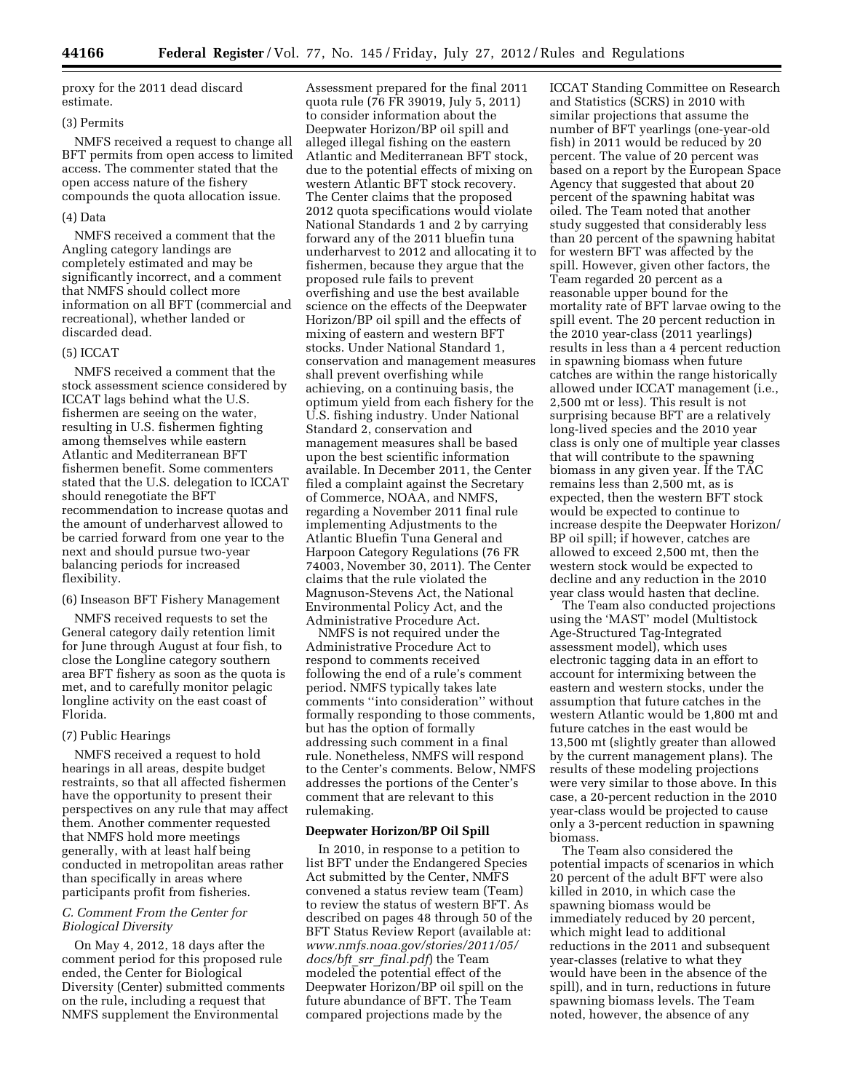proxy for the 2011 dead discard estimate.

# (3) Permits

NMFS received a request to change all BFT permits from open access to limited access. The commenter stated that the open access nature of the fishery compounds the quota allocation issue.

#### (4) Data

NMFS received a comment that the Angling category landings are completely estimated and may be significantly incorrect, and a comment that NMFS should collect more information on all BFT (commercial and recreational), whether landed or discarded dead.

#### (5) ICCAT

NMFS received a comment that the stock assessment science considered by ICCAT lags behind what the U.S. fishermen are seeing on the water, resulting in U.S. fishermen fighting among themselves while eastern Atlantic and Mediterranean BFT fishermen benefit. Some commenters stated that the U.S. delegation to ICCAT should renegotiate the BFT recommendation to increase quotas and the amount of underharvest allowed to be carried forward from one year to the next and should pursue two-year balancing periods for increased flexibility.

(6) Inseason BFT Fishery Management

NMFS received requests to set the General category daily retention limit for June through August at four fish, to close the Longline category southern area BFT fishery as soon as the quota is met, and to carefully monitor pelagic longline activity on the east coast of Florida.

### (7) Public Hearings

NMFS received a request to hold hearings in all areas, despite budget restraints, so that all affected fishermen have the opportunity to present their perspectives on any rule that may affect them. Another commenter requested that NMFS hold more meetings generally, with at least half being conducted in metropolitan areas rather than specifically in areas where participants profit from fisheries.

### *C. Comment From the Center for Biological Diversity*

On May 4, 2012, 18 days after the comment period for this proposed rule ended, the Center for Biological Diversity (Center) submitted comments on the rule, including a request that NMFS supplement the Environmental

Assessment prepared for the final 2011 quota rule (76 FR 39019, July 5, 2011) to consider information about the Deepwater Horizon/BP oil spill and alleged illegal fishing on the eastern Atlantic and Mediterranean BFT stock, due to the potential effects of mixing on western Atlantic BFT stock recovery. The Center claims that the proposed 2012 quota specifications would violate National Standards 1 and 2 by carrying forward any of the 2011 bluefin tuna underharvest to 2012 and allocating it to fishermen, because they argue that the proposed rule fails to prevent overfishing and use the best available science on the effects of the Deepwater Horizon/BP oil spill and the effects of mixing of eastern and western BFT stocks. Under National Standard 1, conservation and management measures shall prevent overfishing while achieving, on a continuing basis, the optimum yield from each fishery for the U.S. fishing industry. Under National Standard 2, conservation and management measures shall be based upon the best scientific information available. In December 2011, the Center filed a complaint against the Secretary of Commerce, NOAA, and NMFS, regarding a November 2011 final rule implementing Adjustments to the Atlantic Bluefin Tuna General and Harpoon Category Regulations (76 FR 74003, November 30, 2011). The Center claims that the rule violated the Magnuson-Stevens Act, the National Environmental Policy Act, and the Administrative Procedure Act.

NMFS is not required under the Administrative Procedure Act to respond to comments received following the end of a rule's comment period. NMFS typically takes late comments ''into consideration'' without formally responding to those comments, but has the option of formally addressing such comment in a final rule. Nonetheless, NMFS will respond to the Center's comments. Below, NMFS addresses the portions of the Center's comment that are relevant to this rulemaking.

#### **Deepwater Horizon/BP Oil Spill**

In 2010, in response to a petition to list BFT under the Endangered Species Act submitted by the Center, NMFS convened a status review team (Team) to review the status of western BFT. As described on pages 48 through 50 of the BFT Status Review Report (available at: *[www.nmfs.noaa.gov/stories/2011/05/](http://www.nmfs.noaa.gov/stories/2011/05/docs/bft_srr_final.pdf) docs/bft*\_*srr*\_*[final.pdf](http://www.nmfs.noaa.gov/stories/2011/05/docs/bft_srr_final.pdf)*) the Team modeled the potential effect of the Deepwater Horizon/BP oil spill on the future abundance of BFT. The Team compared projections made by the

ICCAT Standing Committee on Research and Statistics (SCRS) in 2010 with similar projections that assume the number of BFT yearlings (one-year-old fish) in 2011 would be reduced by 20 percent. The value of 20 percent was based on a report by the European Space Agency that suggested that about 20 percent of the spawning habitat was oiled. The Team noted that another study suggested that considerably less than 20 percent of the spawning habitat for western BFT was affected by the spill. However, given other factors, the Team regarded 20 percent as a reasonable upper bound for the mortality rate of BFT larvae owing to the spill event. The 20 percent reduction in the 2010 year-class (2011 yearlings) results in less than a 4 percent reduction in spawning biomass when future catches are within the range historically allowed under ICCAT management (i.e., 2,500 mt or less). This result is not surprising because BFT are a relatively long-lived species and the 2010 year class is only one of multiple year classes that will contribute to the spawning biomass in any given year. If the TAC remains less than 2,500 mt, as is expected, then the western BFT stock would be expected to continue to increase despite the Deepwater Horizon/ BP oil spill; if however, catches are allowed to exceed 2,500 mt, then the western stock would be expected to decline and any reduction in the 2010 year class would hasten that decline.

The Team also conducted projections using the 'MAST' model (Multistock Age-Structured Tag-Integrated assessment model), which uses electronic tagging data in an effort to account for intermixing between the eastern and western stocks, under the assumption that future catches in the western Atlantic would be 1,800 mt and future catches in the east would be 13,500 mt (slightly greater than allowed by the current management plans). The results of these modeling projections were very similar to those above. In this case, a 20-percent reduction in the 2010 year-class would be projected to cause only a 3-percent reduction in spawning biomass.

The Team also considered the potential impacts of scenarios in which 20 percent of the adult BFT were also killed in 2010, in which case the spawning biomass would be immediately reduced by 20 percent, which might lead to additional reductions in the 2011 and subsequent year-classes (relative to what they would have been in the absence of the spill), and in turn, reductions in future spawning biomass levels. The Team noted, however, the absence of any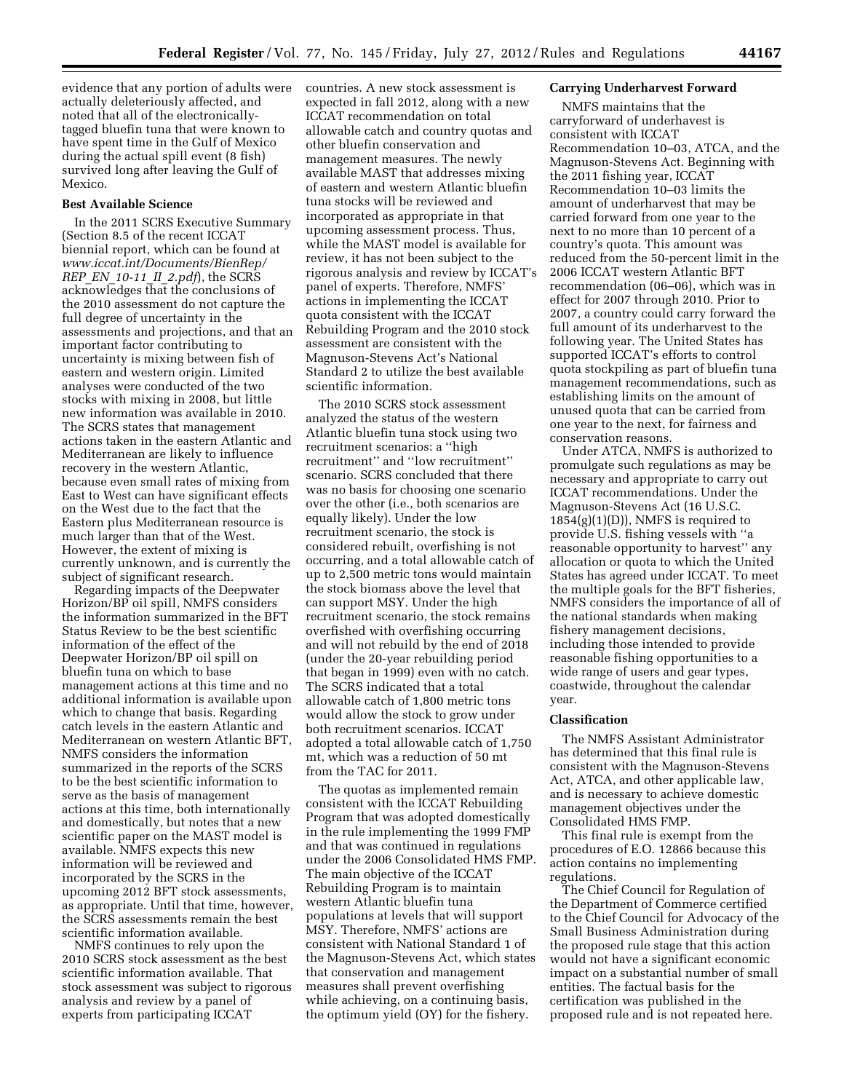evidence that any portion of adults were actually deleteriously affected, and noted that all of the electronicallytagged bluefin tuna that were known to have spent time in the Gulf of Mexico during the actual spill event (8 fish) survived long after leaving the Gulf of Mexico.

#### **Best Available Science**

In the 2011 SCRS Executive Summary (Section 8.5 of the recent ICCAT biennial report, which can be found at *[www.iccat.int/Documents/BienRep/](http://www.iccat.int/Documents/BienRep/REP_EN_10-11_II_2.pdf) REP*\_*EN*\_*[10-11](http://www.iccat.int/Documents/BienRep/REP_EN_10-11_II_2.pdf)*\_*II*\_*2.pdf*), the SCRS acknowledges that the conclusions of the 2010 assessment do not capture the full degree of uncertainty in the assessments and projections, and that an important factor contributing to uncertainty is mixing between fish of eastern and western origin. Limited analyses were conducted of the two stocks with mixing in 2008, but little new information was available in 2010. The SCRS states that management actions taken in the eastern Atlantic and Mediterranean are likely to influence recovery in the western Atlantic, because even small rates of mixing from East to West can have significant effects on the West due to the fact that the Eastern plus Mediterranean resource is much larger than that of the West. However, the extent of mixing is currently unknown, and is currently the subject of significant research.

Regarding impacts of the Deepwater Horizon/BP oil spill, NMFS considers the information summarized in the BFT Status Review to be the best scientific information of the effect of the Deepwater Horizon/BP oil spill on bluefin tuna on which to base management actions at this time and no additional information is available upon which to change that basis. Regarding catch levels in the eastern Atlantic and Mediterranean on western Atlantic BFT, NMFS considers the information summarized in the reports of the SCRS to be the best scientific information to serve as the basis of management actions at this time, both internationally and domestically, but notes that a new scientific paper on the MAST model is available. NMFS expects this new information will be reviewed and incorporated by the SCRS in the upcoming 2012 BFT stock assessments, as appropriate. Until that time, however, the SCRS assessments remain the best scientific information available.

NMFS continues to rely upon the 2010 SCRS stock assessment as the best scientific information available. That stock assessment was subject to rigorous analysis and review by a panel of experts from participating ICCAT

countries. A new stock assessment is expected in fall 2012, along with a new ICCAT recommendation on total allowable catch and country quotas and other bluefin conservation and management measures. The newly available MAST that addresses mixing of eastern and western Atlantic bluefin tuna stocks will be reviewed and incorporated as appropriate in that upcoming assessment process. Thus, while the MAST model is available for review, it has not been subject to the rigorous analysis and review by ICCAT's panel of experts. Therefore, NMFS' actions in implementing the ICCAT quota consistent with the ICCAT Rebuilding Program and the 2010 stock assessment are consistent with the Magnuson-Stevens Act's National Standard 2 to utilize the best available scientific information.

The 2010 SCRS stock assessment analyzed the status of the western Atlantic bluefin tuna stock using two recruitment scenarios: a ''high recruitment'' and ''low recruitment'' scenario. SCRS concluded that there was no basis for choosing one scenario over the other (i.e., both scenarios are equally likely). Under the low recruitment scenario, the stock is considered rebuilt, overfishing is not occurring, and a total allowable catch of up to 2,500 metric tons would maintain the stock biomass above the level that can support MSY. Under the high recruitment scenario, the stock remains overfished with overfishing occurring and will not rebuild by the end of 2018 (under the 20-year rebuilding period that began in 1999) even with no catch. The SCRS indicated that a total allowable catch of 1,800 metric tons would allow the stock to grow under both recruitment scenarios. ICCAT adopted a total allowable catch of 1,750 mt, which was a reduction of 50 mt from the TAC for 2011.

The quotas as implemented remain consistent with the ICCAT Rebuilding Program that was adopted domestically in the rule implementing the 1999 FMP and that was continued in regulations under the 2006 Consolidated HMS FMP. The main objective of the ICCAT Rebuilding Program is to maintain western Atlantic bluefin tuna populations at levels that will support MSY. Therefore, NMFS' actions are consistent with National Standard 1 of the Magnuson-Stevens Act, which states that conservation and management measures shall prevent overfishing while achieving, on a continuing basis, the optimum yield (OY) for the fishery.

### **Carrying Underharvest Forward**

NMFS maintains that the carryforward of underhavest is consistent with ICCAT Recommendation 10–03, ATCA, and the Magnuson-Stevens Act. Beginning with the 2011 fishing year, ICCAT Recommendation 10–03 limits the amount of underharvest that may be carried forward from one year to the next to no more than 10 percent of a country's quota. This amount was reduced from the 50-percent limit in the 2006 ICCAT western Atlantic BFT recommendation (06–06), which was in effect for 2007 through 2010. Prior to 2007, a country could carry forward the full amount of its underharvest to the following year. The United States has supported ICCAT's efforts to control quota stockpiling as part of bluefin tuna management recommendations, such as establishing limits on the amount of unused quota that can be carried from one year to the next, for fairness and conservation reasons.

Under ATCA, NMFS is authorized to promulgate such regulations as may be necessary and appropriate to carry out ICCAT recommendations. Under the Magnuson-Stevens Act (16 U.S.C.  $1854(g)(1)(D)$ , NMFS is required to provide U.S. fishing vessels with ''a reasonable opportunity to harvest'' any allocation or quota to which the United States has agreed under ICCAT. To meet the multiple goals for the BFT fisheries, NMFS considers the importance of all of the national standards when making fishery management decisions, including those intended to provide reasonable fishing opportunities to a wide range of users and gear types, coastwide, throughout the calendar year.

#### **Classification**

The NMFS Assistant Administrator has determined that this final rule is consistent with the Magnuson-Stevens Act, ATCA, and other applicable law, and is necessary to achieve domestic management objectives under the Consolidated HMS FMP.

This final rule is exempt from the procedures of E.O. 12866 because this action contains no implementing regulations.

The Chief Council for Regulation of the Department of Commerce certified to the Chief Council for Advocacy of the Small Business Administration during the proposed rule stage that this action would not have a significant economic impact on a substantial number of small entities. The factual basis for the certification was published in the proposed rule and is not repeated here.